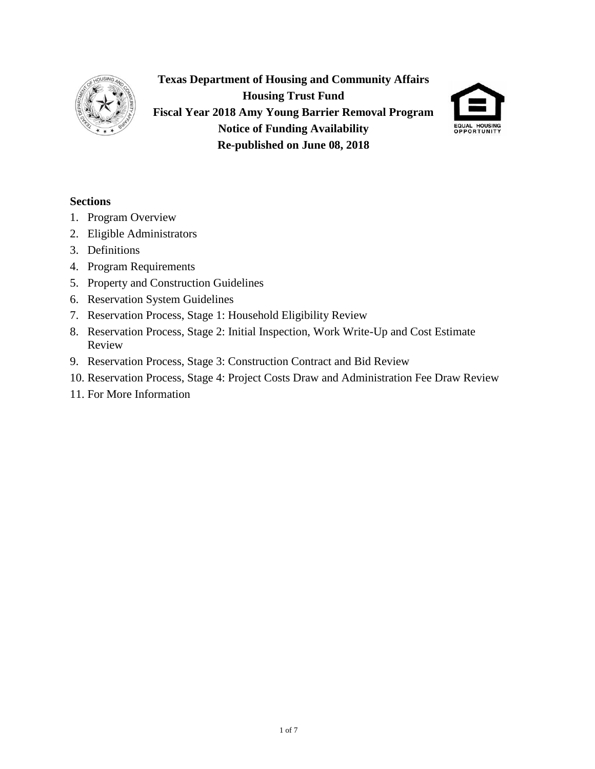

**Texas Department of Housing and Community Affairs Housing Trust Fund Fiscal Year 2018 Amy Young Barrier Removal Program Notice of Funding Availability Re-published on June 08, 2018**



## **Sections**

- 1. Program Overview
- 2. Eligible Administrators
- 3. Definitions
- 4. Program Requirements
- 5. Property and Construction Guidelines
- 6. Reservation System Guidelines
- 7. Reservation Process, Stage 1: Household Eligibility Review
- 8. Reservation Process, Stage 2: Initial Inspection, Work Write-Up and Cost Estimate Review
- 9. Reservation Process, Stage 3: Construction Contract and Bid Review
- 10. Reservation Process, Stage 4: Project Costs Draw and Administration Fee Draw Review
- 11. For More Information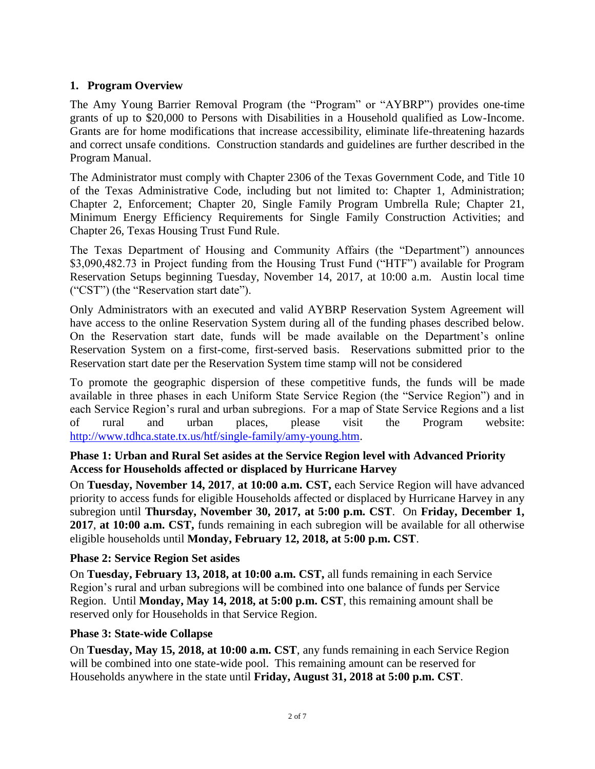# **1. Program Overview**

The Amy Young Barrier Removal Program (the "Program" or "AYBRP") provides one-time grants of up to \$20,000 to Persons with Disabilities in a Household qualified as Low-Income. Grants are for home modifications that increase accessibility, eliminate life-threatening hazards and correct unsafe conditions. Construction standards and guidelines are further described in the Program Manual.

The Administrator must comply with Chapter 2306 of the Texas Government Code, and Title 10 of the Texas Administrative Code, including but not limited to: Chapter 1, Administration; Chapter 2, Enforcement; Chapter 20, Single Family Program Umbrella Rule; Chapter 21, Minimum Energy Efficiency Requirements for Single Family Construction Activities; and Chapter 26, Texas Housing Trust Fund Rule.

The Texas Department of Housing and Community Affairs (the "Department") announces \$3,090,482.73 in Project funding from the Housing Trust Fund ("HTF") available for Program Reservation Setups beginning Tuesday, November 14, 2017, at 10:00 a.m. Austin local time ("CST") (the "Reservation start date").

Only Administrators with an executed and valid AYBRP Reservation System Agreement will have access to the online Reservation System during all of the funding phases described below. On the Reservation start date, funds will be made available on the Department's online Reservation System on a first-come, first-served basis. Reservations submitted prior to the Reservation start date per the Reservation System time stamp will not be considered

To promote the geographic dispersion of these competitive funds, the funds will be made available in three phases in each Uniform State Service Region (the "Service Region") and in each Service Region's rural and urban subregions. For a map of State Service Regions and a list of rural and urban places, please visit the Program website: [http://www.tdhca.state.tx.us/htf/single-family/amy-young.htm.](http://www.tdhca.state.tx.us/htf/single-family/amy-young.htm)

## **Phase 1: Urban and Rural Set asides at the Service Region level with Advanced Priority Access for Households affected or displaced by Hurricane Harvey**

On **Tuesday, November 14, 2017**, **at 10:00 a.m. CST,** each Service Region will have advanced priority to access funds for eligible Households affected or displaced by Hurricane Harvey in any subregion until **Thursday, November 30, 2017, at 5:00 p.m. CST**. On **Friday, December 1, 2017**, **at 10:00 a.m. CST,** funds remaining in each subregion will be available for all otherwise eligible households until **Monday, February 12, 2018, at 5:00 p.m. CST**.

## **Phase 2: Service Region Set asides**

On **Tuesday, February 13, 2018, at 10:00 a.m. CST,** all funds remaining in each Service Region's rural and urban subregions will be combined into one balance of funds per Service Region. Until **Monday, May 14, 2018, at 5:00 p.m. CST**, this remaining amount shall be reserved only for Households in that Service Region.

## **Phase 3: State-wide Collapse**

On **Tuesday, May 15, 2018, at 10:00 a.m. CST**, any funds remaining in each Service Region will be combined into one state-wide pool. This remaining amount can be reserved for Households anywhere in the state until **Friday, August 31, 2018 at 5:00 p.m. CST**.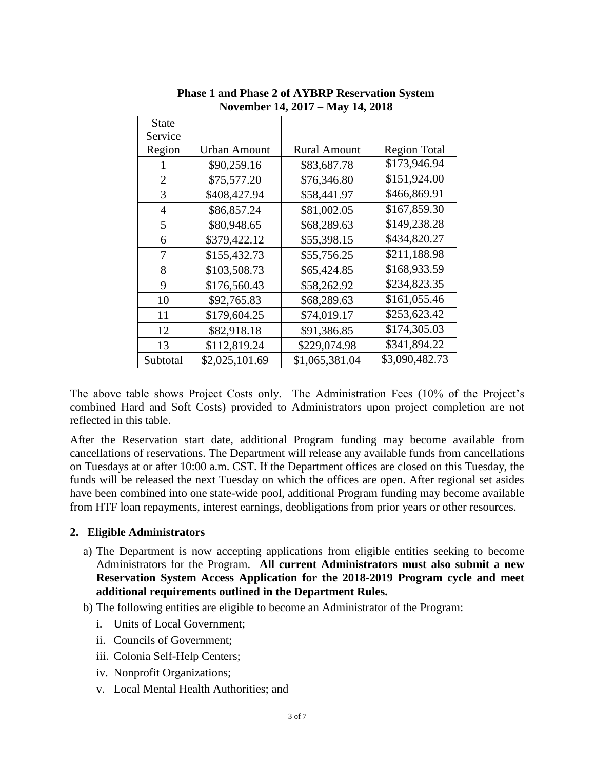| <b>State</b>   |                     |                     |                     |
|----------------|---------------------|---------------------|---------------------|
| Service        |                     |                     |                     |
| Region         | <b>Urban Amount</b> | <b>Rural Amount</b> | <b>Region Total</b> |
|                | \$90,259.16         | \$83,687.78         | \$173,946.94        |
| $\overline{2}$ | \$75,577.20         | \$76,346.80         | \$151,924.00        |
| 3              | \$408,427.94        | \$58,441.97         | \$466,869.91        |
| 4              | \$86,857.24         | \$81,002.05         | \$167,859.30        |
| 5              | \$80,948.65         | \$68,289.63         | \$149,238.28        |
| 6              | \$379,422.12        | \$55,398.15         | \$434,820.27        |
| 7              | \$155,432.73        | \$55,756.25         | \$211,188.98        |
| 8              | \$103,508.73        | \$65,424.85         | \$168,933.59        |
| 9              | \$176,560.43        | \$58,262.92         | \$234,823.35        |
| 10             | \$92,765.83         | \$68,289.63         | \$161,055.46        |
| 11             | \$179,604.25        | \$74,019.17         | \$253,623.42        |
| 12             | \$82,918.18         | \$91,386.85         | \$174,305.03        |
| 13             | \$112,819.24        | \$229,074.98        | \$341,894.22        |
| Subtotal       | \$2,025,101.69      | \$1,065,381.04      | \$3,090,482.73      |

**Phase 1 and Phase 2 of AYBRP Reservation System November 14, 2017 – May 14, 2018**

The above table shows Project Costs only. The Administration Fees (10% of the Project's combined Hard and Soft Costs) provided to Administrators upon project completion are not reflected in this table.

After the Reservation start date, additional Program funding may become available from cancellations of reservations. The Department will release any available funds from cancellations on Tuesdays at or after 10:00 a.m. CST. If the Department offices are closed on this Tuesday, the funds will be released the next Tuesday on which the offices are open. After regional set asides have been combined into one state-wide pool, additional Program funding may become available from HTF loan repayments, interest earnings, deobligations from prior years or other resources.

### **2. Eligible Administrators**

- a) The Department is now accepting applications from eligible entities seeking to become Administrators for the Program. **All current Administrators must also submit a new Reservation System Access Application for the 2018-2019 Program cycle and meet additional requirements outlined in the Department Rules.**
- b) The following entities are eligible to become an Administrator of the Program:
	- i. Units of Local Government;
	- ii. Councils of Government;
	- iii. Colonia Self-Help Centers;
	- iv. Nonprofit Organizations;
	- v. Local Mental Health Authorities; and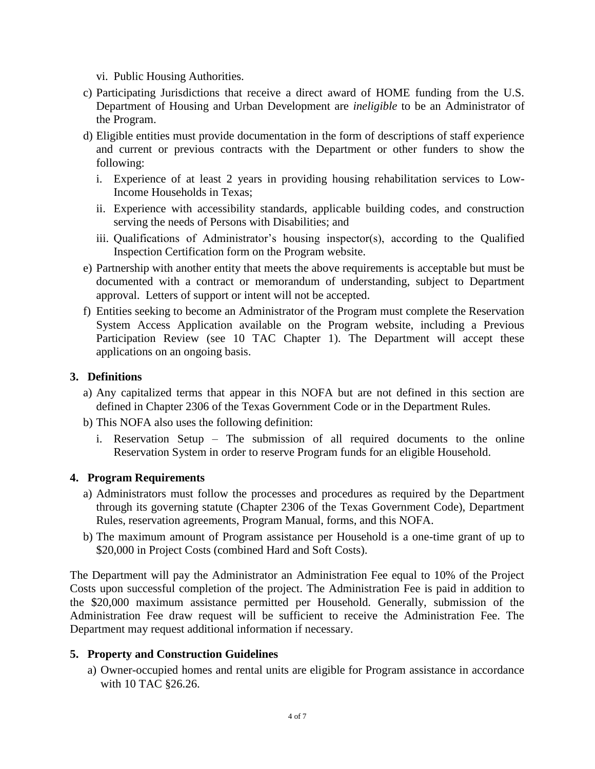- vi. Public Housing Authorities.
- c) Participating Jurisdictions that receive a direct award of HOME funding from the U.S. Department of Housing and Urban Development are *ineligible* to be an Administrator of the Program.
- d) Eligible entities must provide documentation in the form of descriptions of staff experience and current or previous contracts with the Department or other funders to show the following:
	- i. Experience of at least 2 years in providing housing rehabilitation services to Low-Income Households in Texas;
	- ii. Experience with accessibility standards, applicable building codes, and construction serving the needs of Persons with Disabilities; and
	- iii. Qualifications of Administrator's housing inspector(s), according to the Qualified Inspection Certification form on the Program website.
- e) Partnership with another entity that meets the above requirements is acceptable but must be documented with a contract or memorandum of understanding, subject to Department approval. Letters of support or intent will not be accepted.
- f) Entities seeking to become an Administrator of the Program must complete the Reservation System Access Application available on the Program website, including a Previous Participation Review (see 10 TAC Chapter 1). The Department will accept these applications on an ongoing basis.

### **3. Definitions**

- a) Any capitalized terms that appear in this NOFA but are not defined in this section are defined in Chapter 2306 of the Texas Government Code or in the Department Rules.
- b) This NOFA also uses the following definition:
	- i. Reservation Setup The submission of all required documents to the online Reservation System in order to reserve Program funds for an eligible Household.

### **4. Program Requirements**

- a) Administrators must follow the processes and procedures as required by the Department through its governing statute (Chapter 2306 of the Texas Government Code), Department Rules, reservation agreements, Program Manual, forms, and this NOFA.
- b) The maximum amount of Program assistance per Household is a one-time grant of up to \$20,000 in Project Costs (combined Hard and Soft Costs).

The Department will pay the Administrator an Administration Fee equal to 10% of the Project Costs upon successful completion of the project. The Administration Fee is paid in addition to the \$20,000 maximum assistance permitted per Household. Generally, submission of the Administration Fee draw request will be sufficient to receive the Administration Fee. The Department may request additional information if necessary.

### **5. Property and Construction Guidelines**

a) Owner-occupied homes and rental units are eligible for Program assistance in accordance with 10 TAC §26.26.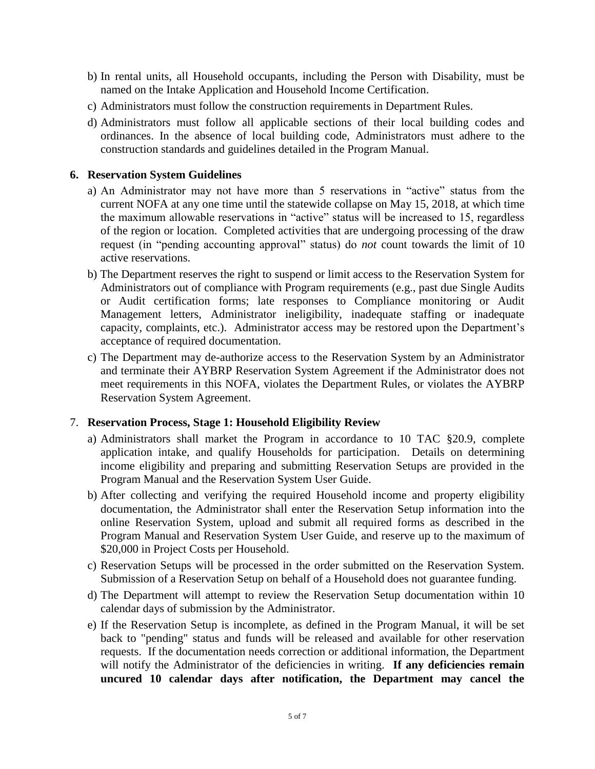- b) In rental units, all Household occupants, including the Person with Disability, must be named on the Intake Application and Household Income Certification.
- c) Administrators must follow the construction requirements in Department Rules.
- d) Administrators must follow all applicable sections of their local building codes and ordinances. In the absence of local building code, Administrators must adhere to the construction standards and guidelines detailed in the Program Manual.

### **6. Reservation System Guidelines**

- a) An Administrator may not have more than 5 reservations in "active" status from the current NOFA at any one time until the statewide collapse on May 15, 2018, at which time the maximum allowable reservations in "active" status will be increased to 15, regardless of the region or location. Completed activities that are undergoing processing of the draw request (in "pending accounting approval" status) do *not* count towards the limit of 10 active reservations.
- b) The Department reserves the right to suspend or limit access to the Reservation System for Administrators out of compliance with Program requirements (e.g., past due Single Audits or Audit certification forms; late responses to Compliance monitoring or Audit Management letters, Administrator ineligibility, inadequate staffing or inadequate capacity, complaints, etc.). Administrator access may be restored upon the Department's acceptance of required documentation.
- c) The Department may de-authorize access to the Reservation System by an Administrator and terminate their AYBRP Reservation System Agreement if the Administrator does not meet requirements in this NOFA, violates the Department Rules, or violates the AYBRP Reservation System Agreement.

## 7. **Reservation Process, Stage 1: Household Eligibility Review**

- a) Administrators shall market the Program in accordance to 10 TAC §20.9, complete application intake, and qualify Households for participation. Details on determining income eligibility and preparing and submitting Reservation Setups are provided in the Program Manual and the Reservation System User Guide.
- b) After collecting and verifying the required Household income and property eligibility documentation, the Administrator shall enter the Reservation Setup information into the online Reservation System, upload and submit all required forms as described in the Program Manual and Reservation System User Guide, and reserve up to the maximum of \$20,000 in Project Costs per Household.
- c) Reservation Setups will be processed in the order submitted on the Reservation System. Submission of a Reservation Setup on behalf of a Household does not guarantee funding.
- d) The Department will attempt to review the Reservation Setup documentation within 10 calendar days of submission by the Administrator.
- e) If the Reservation Setup is incomplete, as defined in the Program Manual, it will be set back to "pending" status and funds will be released and available for other reservation requests. If the documentation needs correction or additional information, the Department will notify the Administrator of the deficiencies in writing. **If any deficiencies remain uncured 10 calendar days after notification, the Department may cancel the**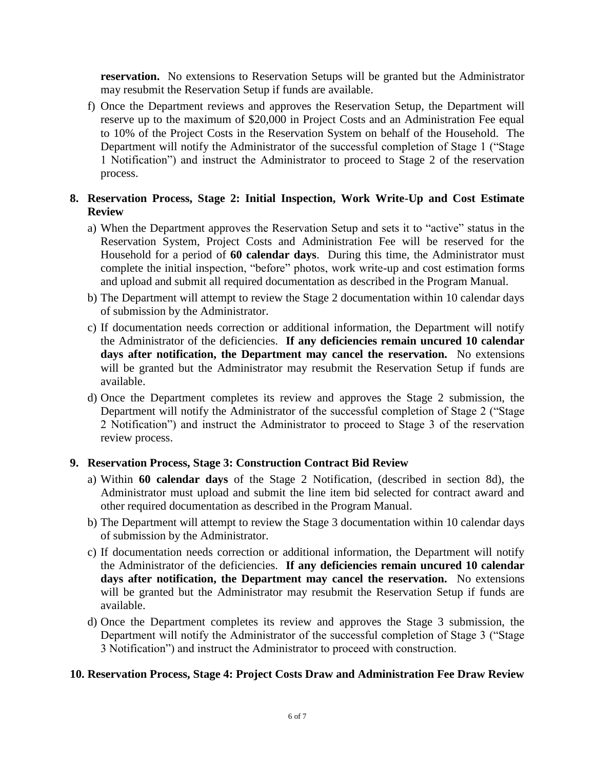**reservation.** No extensions to Reservation Setups will be granted but the Administrator may resubmit the Reservation Setup if funds are available.

f) Once the Department reviews and approves the Reservation Setup, the Department will reserve up to the maximum of \$20,000 in Project Costs and an Administration Fee equal to 10% of the Project Costs in the Reservation System on behalf of the Household. The Department will notify the Administrator of the successful completion of Stage 1 ("Stage 1 Notification") and instruct the Administrator to proceed to Stage 2 of the reservation process.

# **8. Reservation Process, Stage 2: Initial Inspection, Work Write-Up and Cost Estimate Review**

- a) When the Department approves the Reservation Setup and sets it to "active" status in the Reservation System, Project Costs and Administration Fee will be reserved for the Household for a period of **60 calendar days**. During this time, the Administrator must complete the initial inspection, "before" photos, work write-up and cost estimation forms and upload and submit all required documentation as described in the Program Manual.
- b) The Department will attempt to review the Stage 2 documentation within 10 calendar days of submission by the Administrator.
- c) If documentation needs correction or additional information, the Department will notify the Administrator of the deficiencies. **If any deficiencies remain uncured 10 calendar days after notification, the Department may cancel the reservation.** No extensions will be granted but the Administrator may resubmit the Reservation Setup if funds are available.
- d) Once the Department completes its review and approves the Stage 2 submission, the Department will notify the Administrator of the successful completion of Stage 2 ("Stage 2 Notification") and instruct the Administrator to proceed to Stage 3 of the reservation review process.

## **9. Reservation Process, Stage 3: Construction Contract Bid Review**

- a) Within **60 calendar days** of the Stage 2 Notification, (described in section 8d), the Administrator must upload and submit the line item bid selected for contract award and other required documentation as described in the Program Manual.
- b) The Department will attempt to review the Stage 3 documentation within 10 calendar days of submission by the Administrator.
- c) If documentation needs correction or additional information, the Department will notify the Administrator of the deficiencies. **If any deficiencies remain uncured 10 calendar days after notification, the Department may cancel the reservation.** No extensions will be granted but the Administrator may resubmit the Reservation Setup if funds are available.
- d) Once the Department completes its review and approves the Stage 3 submission, the Department will notify the Administrator of the successful completion of Stage 3 ("Stage 3 Notification") and instruct the Administrator to proceed with construction.

### **10. Reservation Process, Stage 4: Project Costs Draw and Administration Fee Draw Review**